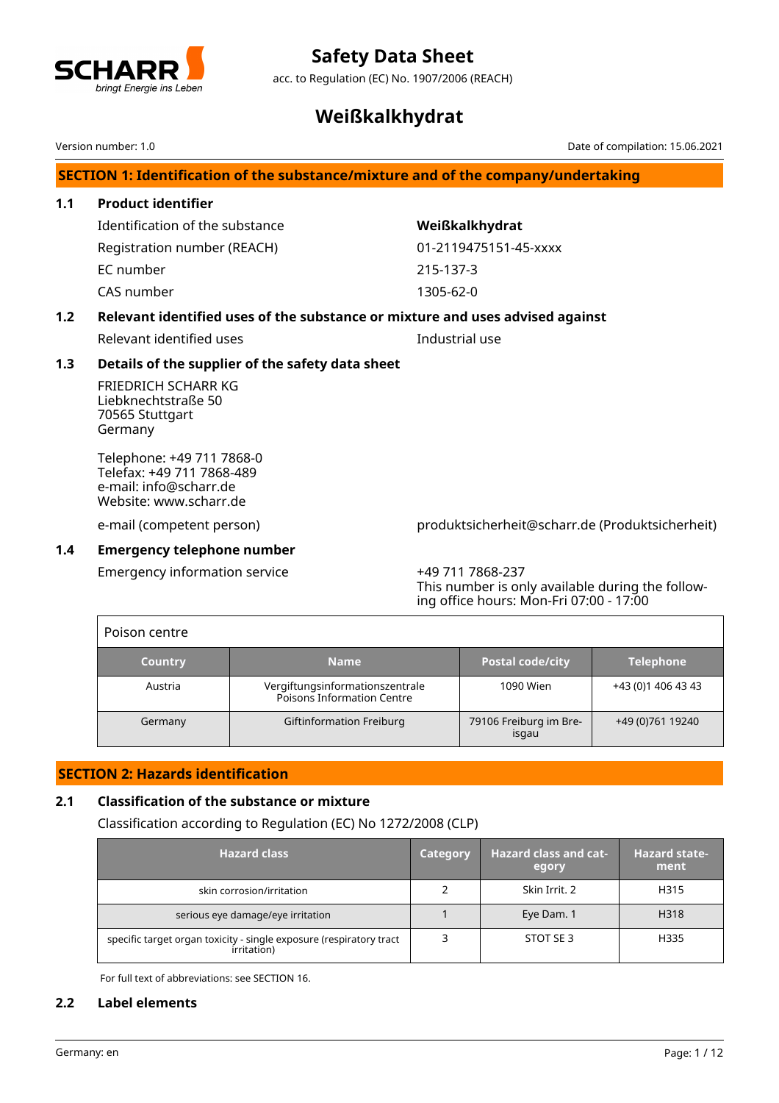

acc. to Regulation (EC) No. 1907/2006 (REACH)

# **Weißkalkhydrat**

Version number: 1.0 Date of compilation: 15.06.2021

# **SECTION 1: Identification of the substance/mixture and of the company/undertaking**

# **1.1 Product identifier** Identification of the substance **Weißkalkhydrat**

Registration number (REACH) 01-2119475151-45-xxxx EC number 215-137-3 CAS number 1305-62-0

# **1.2 Relevant identified uses of the substance or mixture and uses advised against**

Relevant identified uses **Industrial use** 

# **1.3 Details of the supplier of the safety data sheet**

FRIEDRICH SCHARR KG Liebknechtstraße 50 70565 Stuttgart Germany

Telephone: +49 711 7868-0 Telefax: +49 711 7868-489 e-mail: info@scharr.de Website: www.scharr.de

e-mail (competent person) produktsicherheit@scharr.de (Produktsicherheit)

# **1.4 Emergency telephone number**

Г

Emergency information service +49 711 7868-237

This number is only available during the following office hours: Mon-Fri 07:00 - 17:00

| Poison centre  |                                                               |                                 |                    |
|----------------|---------------------------------------------------------------|---------------------------------|--------------------|
| <b>Country</b> | <b>Name</b>                                                   | <b>Postal code/city</b>         | <b>Telephone</b>   |
| Austria        | Vergiftungsinformationszentrale<br>Poisons Information Centre | 1090 Wien                       | +43 (0)1 406 43 43 |
| Germany        | Giftinformation Freiburg                                      | 79106 Freiburg im Bre-<br>isgau | +49 (0) 761 19240  |

# **SECTION 2: Hazards identification**

## **2.1 Classification of the substance or mixture**

Classification according to Regulation (EC) No 1272/2008 (CLP)

| <b>Hazard class</b>                                                                | <b>Category</b> | <b>Hazard class and cat-</b><br>egory | <b>Hazard state-</b><br>ment |
|------------------------------------------------------------------------------------|-----------------|---------------------------------------|------------------------------|
| skin corrosion/irritation                                                          |                 | Skin Irrit. 2                         | H315                         |
| serious eye damage/eye irritation                                                  |                 | Eye Dam. 1                            | H318                         |
| specific target organ toxicity - single exposure (respiratory tract<br>irritation) |                 | STOT SE 3                             | H335                         |

For full text of abbreviations: see SECTION 16.

## **2.2 Label elements**

٦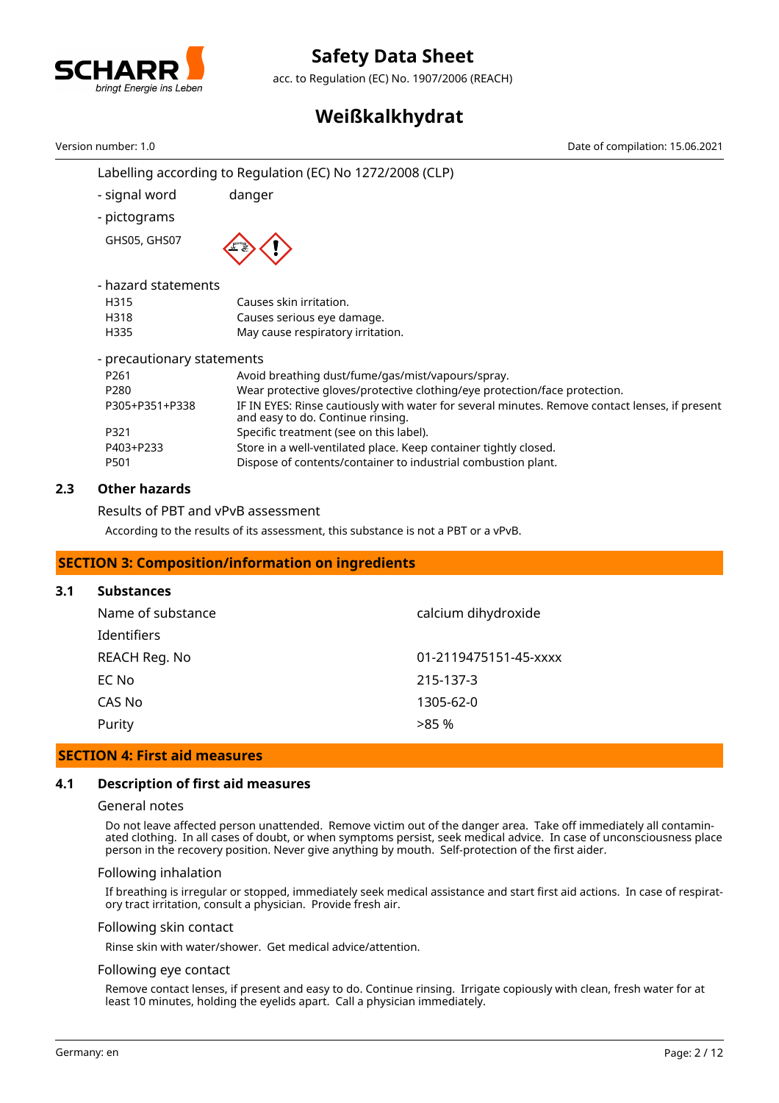

acc. to Regulation (EC) No. 1907/2006 (REACH)

# **Weißkalkhydrat**

Labelling according to Regulation (EC) No 1272/2008 (CLP) - signal word danger - pictograms GHS05, GHS07 - hazard statements H315 Causes skin irritation. H318 Causes serious eye damage. H335 May cause respiratory irritation. - precautionary statements P261 Avoid breathing dust/fume/gas/mist/vapours/spray. P280 Wear protective gloves/protective clothing/eye protection/face protection. P305+P351+P338 IF IN EYES: Rinse cautiously with water for several minutes. Remove contact lenses, if present and easy to do. Continue rinsing. P321 Specific treatment (see on this label). P403+P233 Store in a well-ventilated place. Keep container tightly closed. P501 Dispose of contents/container to industrial combustion plant. Version number: 1.0 Date of compilation: 15.06.2021

# **2.3 Other hazards**

Results of PBT and vPvB assessment

According to the results of its assessment, this substance is not a PBT or a vPvB.

# **SECTION 3: Composition/information on ingredients**

#### **3.1 Substances**

| calcium dihydroxide<br>Name of substance |                       |
|------------------------------------------|-----------------------|
| Identifiers                              |                       |
| REACH Reg. No                            | 01-2119475151-45-xxxx |
| EC No                                    | 215-137-3             |
| CAS No                                   | 1305-62-0             |
| Purity                                   | >85%                  |

#### **SECTION 4: First aid measures**

#### **4.1 Description of first aid measures**

#### General notes

Do not leave affected person unattended. Remove victim out of the danger area. Take off immediately all contaminated clothing. In all cases of doubt, or when symptoms persist, seek medical advice. In case of unconsciousness place person in the recovery position. Never give anything by mouth. Self-protection of the first aider.

#### Following inhalation

If breathing is irregular or stopped, immediately seek medical assistance and start first aid actions. In case of respiratory tract irritation, consult a physician. Provide fresh air.

#### Following skin contact

Rinse skin with water/shower. Get medical advice/attention.

#### Following eye contact

Remove contact lenses, if present and easy to do. Continue rinsing. Irrigate copiously with clean, fresh water for at least 10 minutes, holding the eyelids apart. Call a physician immediately.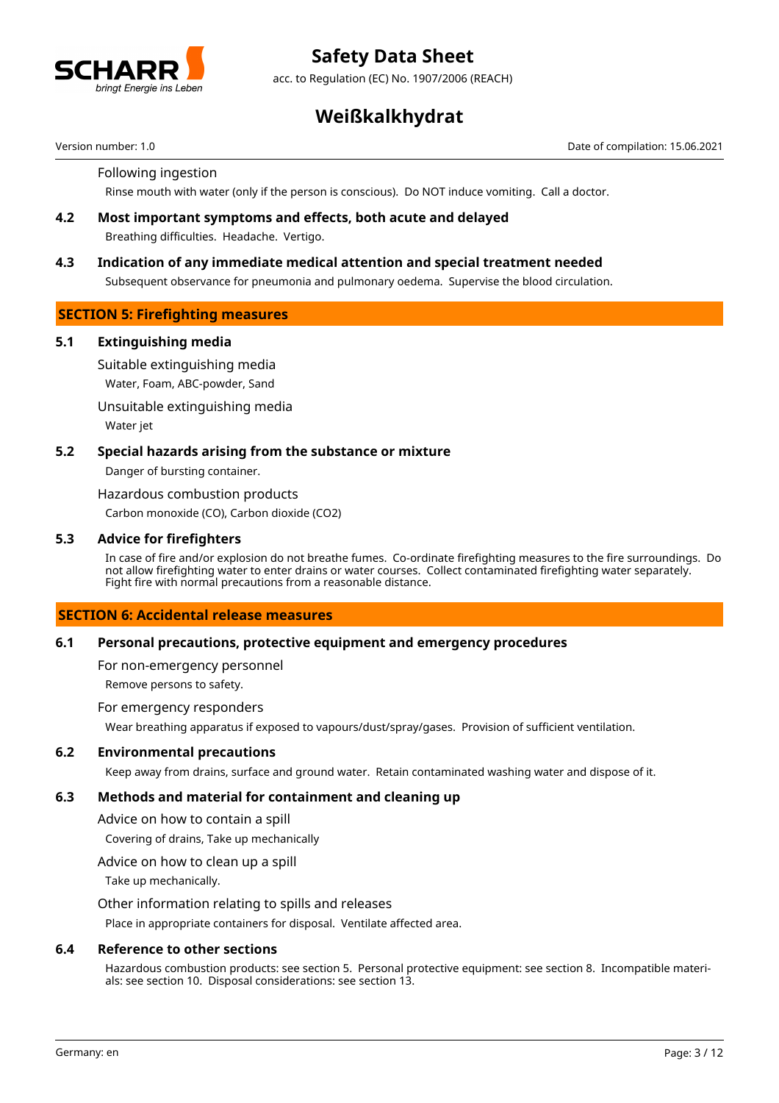

acc. to Regulation (EC) No. 1907/2006 (REACH)

# **Weißkalkhydrat**

Version number: 1.0 Date of compilation: 15.06.2021

#### Following ingestion

Rinse mouth with water (only if the person is conscious). Do NOT induce vomiting. Call a doctor.

**4.2 Most important symptoms and effects, both acute and delayed** Breathing difficulties. Headache. Vertigo.

### **4.3 Indication of any immediate medical attention and special treatment needed**

Subsequent observance for pneumonia and pulmonary oedema. Supervise the blood circulation.

## **SECTION 5: Firefighting measures**

#### **5.1 Extinguishing media**

Suitable extinguishing media

Water, Foam, ABC-powder, Sand

Unsuitable extinguishing media

Water jet

### **5.2 Special hazards arising from the substance or mixture**

Danger of bursting container.

Hazardous combustion products

Carbon monoxide (CO), Carbon dioxide (CO2)

#### **5.3 Advice for firefighters**

In case of fire and/or explosion do not breathe fumes. Co-ordinate firefighting measures to the fire surroundings. Do not allow firefighting water to enter drains or water courses. Collect contaminated firefighting water separately. Fight fire with normal precautions from a reasonable distance.

## **SECTION 6: Accidental release measures**

#### **6.1 Personal precautions, protective equipment and emergency procedures**

For non-emergency personnel

Remove persons to safety.

#### For emergency responders

Wear breathing apparatus if exposed to vapours/dust/spray/gases. Provision of sufficient ventilation.

#### **6.2 Environmental precautions**

Keep away from drains, surface and ground water. Retain contaminated washing water and dispose of it.

#### **6.3 Methods and material for containment and cleaning up**

Advice on how to contain a spill

Covering of drains, Take up mechanically

Advice on how to clean up a spill

Take up mechanically.

#### Other information relating to spills and releases

Place in appropriate containers for disposal. Ventilate affected area.

#### **6.4 Reference to other sections**

Hazardous combustion products: see section 5. Personal protective equipment: see section 8. Incompatible materials: see section 10. Disposal considerations: see section 13.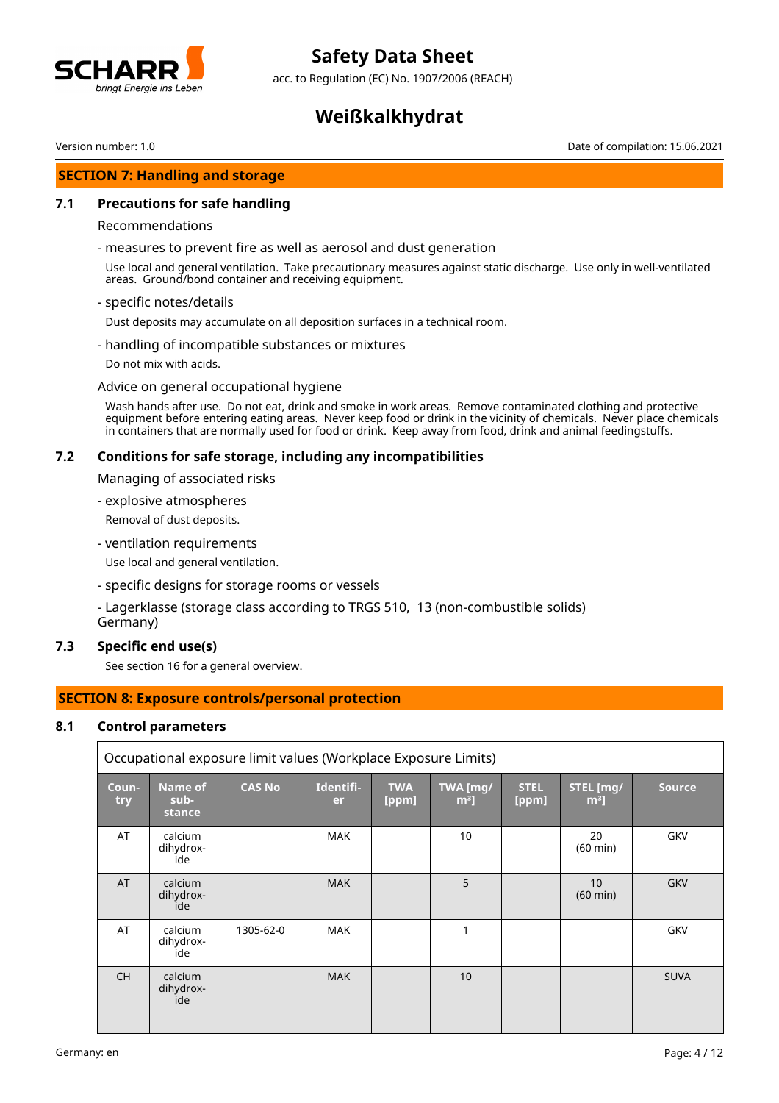

acc. to Regulation (EC) No. 1907/2006 (REACH)

# **Weißkalkhydrat**

Version number: 1.0 Date of compilation: 15.06.2021

### **SECTION 7: Handling and storage**

#### **7.1 Precautions for safe handling**

#### Recommendations

- measures to prevent fire as well as aerosol and dust generation

Use local and general ventilation. Take precautionary measures against static discharge. Use only in well-ventilated areas. Ground/bond container and receiving equipment.

- specific notes/details

Dust deposits may accumulate on all deposition surfaces in a technical room.

- handling of incompatible substances or mixtures
- Do not mix with acids.

#### Advice on general occupational hygiene

Wash hands after use. Do not eat, drink and smoke in work areas. Remove contaminated clothing and protective equipment before entering eating areas. Never keep food or drink in the vicinity of chemicals. Never place chemicals in containers that are normally used for food or drink. Keep away from food, drink and animal feedingstuffs.

#### **7.2 Conditions for safe storage, including any incompatibilities**

Managing of associated risks

- explosive atmospheres
- Removal of dust deposits.
- ventilation requirements

Use local and general ventilation.

- specific designs for storage rooms or vessels
- Lagerklasse (storage class according to TRGS 510, 13 (non-combustible solids) Germany)

#### **7.3 Specific end use(s)**

See section 16 for a general overview.

# **SECTION 8: Exposure controls/personal protection**

#### **8.1 Control parameters**

|              | Occupational exposure limit values (Workplace Exposure Limits) |               |                 |                     |                            |                      |                             |               |
|--------------|----------------------------------------------------------------|---------------|-----------------|---------------------|----------------------------|----------------------|-----------------------------|---------------|
| Coun-<br>try | <b>Name of</b><br>sub-<br>stance                               | <b>CAS No</b> | Identifi-<br>er | <b>TWA</b><br>[ppm] | TWA [mg/<br>m <sup>3</sup> | <b>STEL</b><br>[ppm] | STEL [mg/<br>m <sup>3</sup> | <b>Source</b> |
| AT           | calcium<br>dihydrox-<br>ide                                    |               | <b>MAK</b>      |                     | 10                         |                      | 20<br>$(60 \text{ min})$    | GKV           |
| <b>AT</b>    | calcium<br>dihydrox-<br>ide                                    |               | <b>MAK</b>      |                     | 5                          |                      | 10<br>$(60 \text{ min})$    | <b>GKV</b>    |
| AT           | calcium<br>dihydrox-<br>ide                                    | 1305-62-0     | <b>MAK</b>      |                     | 1                          |                      |                             | GKV           |
| <b>CH</b>    | calcium<br>dihydrox-<br>ide                                    |               | <b>MAK</b>      |                     | 10 <sup>1</sup>            |                      |                             | <b>SUVA</b>   |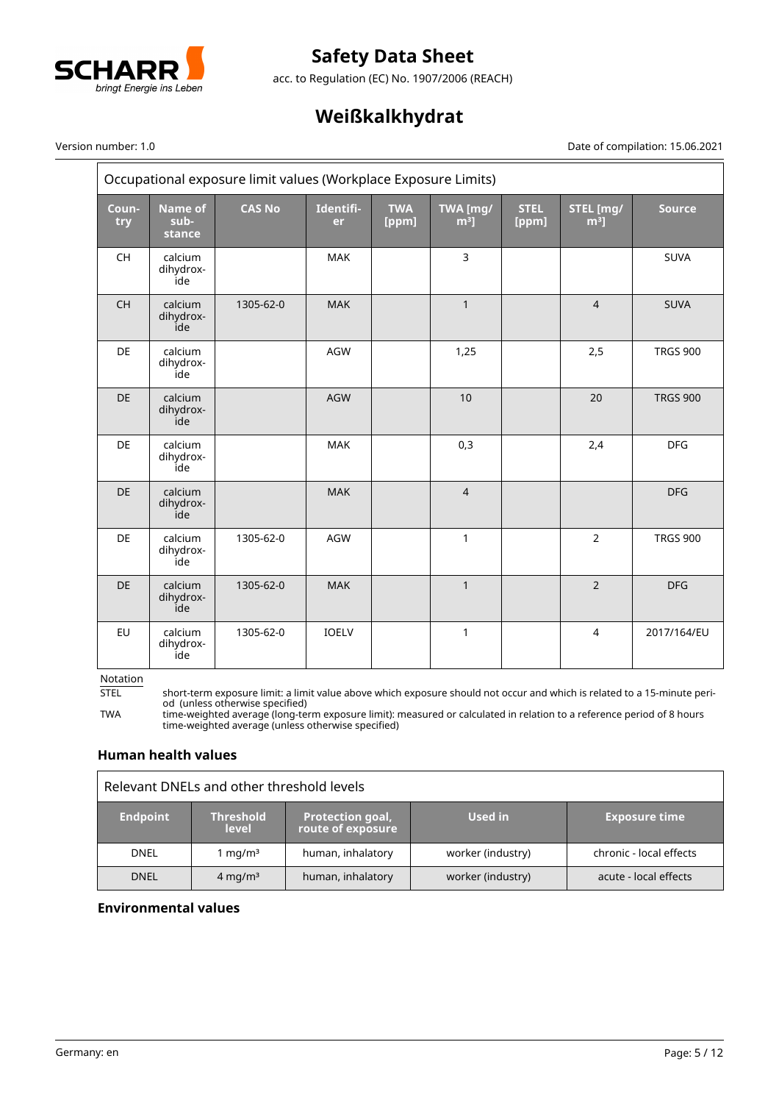

acc. to Regulation (EC) No. 1907/2006 (REACH)

# **Weißkalkhydrat**

# $\overline{\phantom{0}}$

#### Version number: 1.0 Date of compilation: 15.06.2021

 $\equiv$ 

|                                          | Occupational exposure limit values (Workplace Exposure Limits) |               |                 |                     |                    |                      |                     |                 |
|------------------------------------------|----------------------------------------------------------------|---------------|-----------------|---------------------|--------------------|----------------------|---------------------|-----------------|
| Coun-<br>try                             | <b>Name of</b><br>sub-<br>stance                               | <b>CAS No</b> | Identifi-<br>er | <b>TWA</b><br>[ppm] | TWA [mg/<br>$m3$ ] | <b>STEL</b><br>[ppm] | STEL [mg/<br>$m3$ ] | <b>Source</b>   |
| $\mathsf{CH}% \left( \mathcal{M}\right)$ | calcium<br>dihydrox-<br>ide                                    |               | MAK             |                     | 3                  |                      |                     | <b>SUVA</b>     |
| CH                                       | calcium<br>dihydrox-<br>ide                                    | 1305-62-0     | <b>MAK</b>      |                     | $\mathbf{1}$       |                      | $\overline{4}$      | <b>SUVA</b>     |
| DE                                       | calcium<br>dihydrox-<br>ide                                    |               | AGW             |                     | 1,25               |                      | 2,5                 | <b>TRGS 900</b> |
| DE                                       | calcium<br>dihydrox-<br>ide                                    |               | AGW             |                     | 10                 |                      | 20                  | <b>TRGS 900</b> |
| <b>DE</b>                                | calcium<br>dihydrox-<br>ide                                    |               | <b>MAK</b>      |                     | 0,3                |                      | 2,4                 | <b>DFG</b>      |
| <b>DE</b>                                | calcium<br>dihydrox-<br>ide                                    |               | <b>MAK</b>      |                     | $\overline{4}$     |                      |                     | <b>DFG</b>      |
| <b>DE</b>                                | calcium<br>dihydrox-<br>ide                                    | 1305-62-0     | AGW             |                     | 1                  |                      | $\overline{2}$      | <b>TRGS 900</b> |
| <b>DE</b>                                | calcium<br>dihydrox-<br>ide                                    | 1305-62-0     | <b>MAK</b>      |                     | $\mathbf{1}$       |                      | $\overline{2}$      | <b>DFG</b>      |
| EU                                       | calcium<br>dihydrox-<br>ide                                    | 1305-62-0     | IOELV           |                     | 1                  |                      | $\overline{4}$      | 2017/164/EU     |

Notation<br>STEL

STEL short-term exposure limit: a limit value above which exposure should not occur and which is related to a 15-minute period (unless otherwise specified)

TWA time-weighted average (long-term exposure limit): measured or calculated in relation to a reference period of 8 hours time-weighted average (unless otherwise specified)

# **Human health values**

| Relevant DNELs and other threshold levels |                            |                                              |                   |                         |  |
|-------------------------------------------|----------------------------|----------------------------------------------|-------------------|-------------------------|--|
| <b>Endpoint</b>                           | 'Threshold<br><b>level</b> | <b>Protection goal,</b><br>route of exposure | Used in           | <b>Exposure time</b>    |  |
| <b>DNEL</b>                               | mg/m <sup>3</sup>          | human, inhalatory                            | worker (industry) | chronic - local effects |  |
| <b>DNEL</b>                               | $4 \text{ mg/m}^3$         | human, inhalatory                            | worker (industry) | acute - local effects   |  |

## **Environmental values**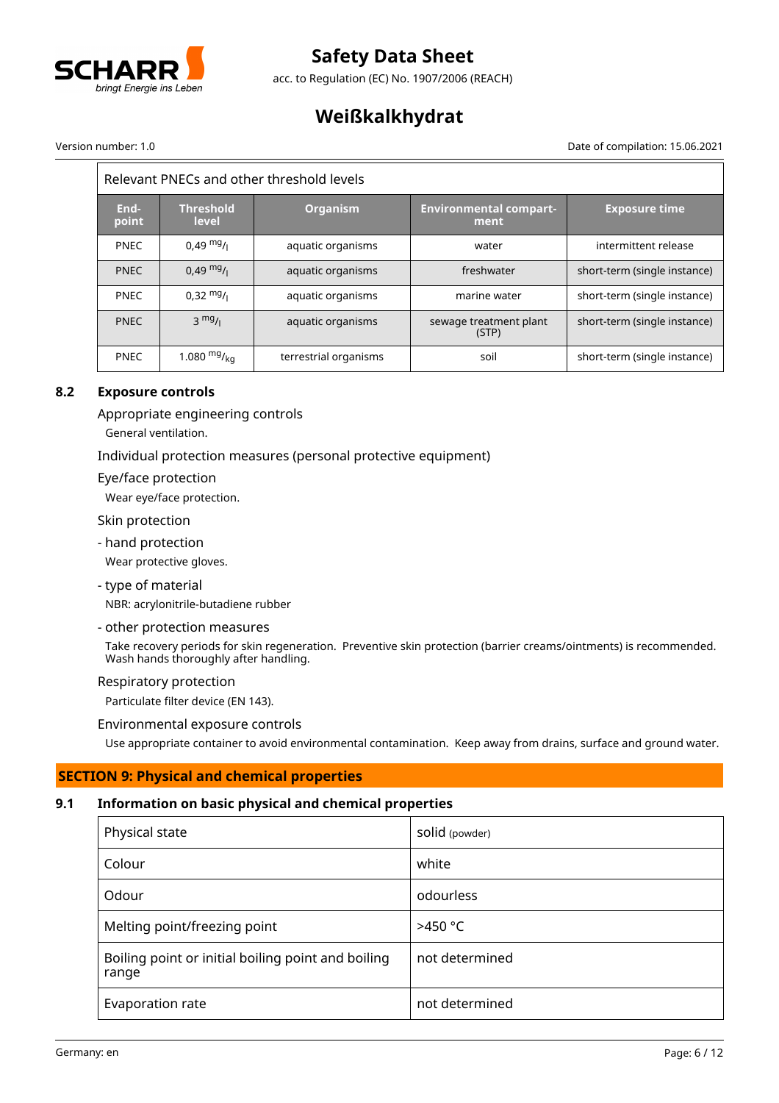

acc. to Regulation (EC) No. 1907/2006 (REACH)

# **Weißkalkhydrat**

 $\overline{ }$ 

#### Version number: 1.0 Date of compilation: 15.06.2021

 $\equiv$ 

| Relevant PNECs and other threshold levels |                           |                       |                                       |                              |
|-------------------------------------------|---------------------------|-----------------------|---------------------------------------|------------------------------|
| End-<br>point                             | <b>Threshold</b><br>level | <b>Organism</b>       | <b>Environmental compart-</b><br>ment | <b>Exposure time</b>         |
| <b>PNEC</b>                               | $0.49 \frac{mg}{L}$       | aquatic organisms     | water                                 | intermittent release         |
| <b>PNEC</b>                               | $0.49 \text{ mg}$ /       | aquatic organisms     | freshwater                            | short-term (single instance) |
| <b>PNFC</b>                               | $0.32 \frac{mg}{l}$       | aquatic organisms     | marine water                          | short-term (single instance) |
| <b>PNEC</b>                               | $3 \frac{mg}{l}$          | aquatic organisms     | sewage treatment plant<br>(STP)       | short-term (single instance) |
| <b>PNEC</b>                               | 1.080 $mg/k_{0}$          | terrestrial organisms | soil                                  | short-term (single instance) |

# **8.2 Exposure controls**

Appropriate engineering controls

General ventilation.

## Individual protection measures (personal protective equipment)

Eye/face protection

Wear eye/face protection.

Skin protection

- hand protection

Wear protective gloves.

- type of material

NBR: acrylonitrile-butadiene rubber

#### - other protection measures

Take recovery periods for skin regeneration. Preventive skin protection (barrier creams/ointments) is recommended. Wash hands thoroughly after handling.

#### Respiratory protection

Particulate filter device (EN 143).

Environmental exposure controls

Use appropriate container to avoid environmental contamination. Keep away from drains, surface and ground water.

# **SECTION 9: Physical and chemical properties**

# **9.1 Information on basic physical and chemical properties**

| Physical state                                              | Solid (powder) |
|-------------------------------------------------------------|----------------|
| Colour                                                      | white          |
| Odour                                                       | odourless      |
| Melting point/freezing point                                | $>450$ °C      |
| Boiling point or initial boiling point and boiling<br>range | not determined |
| Evaporation rate                                            | not determined |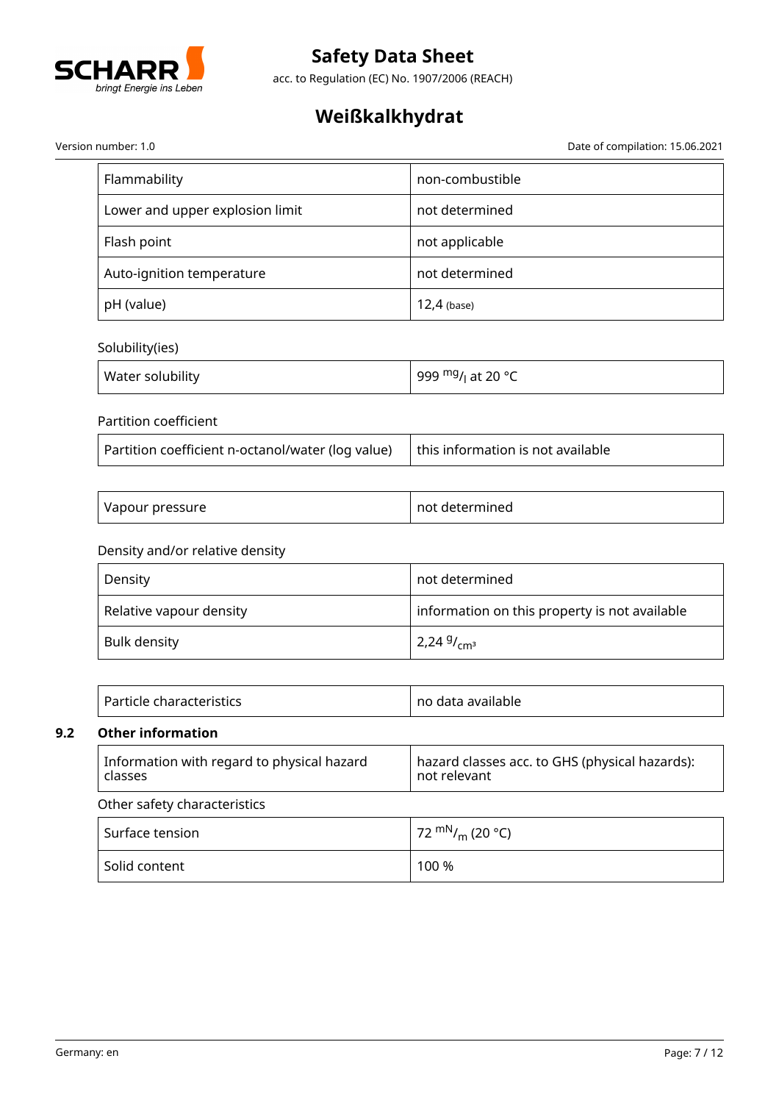

acc. to Regulation (EC) No. 1907/2006 (REACH)

# **Weißkalkhydrat**

Version number: 1.0 Date of compilation: 15.06.2021

| Flammability                    | non-combustible |
|---------------------------------|-----------------|
| Lower and upper explosion limit | not determined  |
| Flash point                     | not applicable  |
| Auto-ignition temperature       | not determined  |
| pH (value)                      | $12,4$ (base)   |

# Solubility(ies)

| Water solubility | 999 <sup>mg</sup> / <sub>l</sub> at 20 ° <i>C</i> |
|------------------|---------------------------------------------------|
|------------------|---------------------------------------------------|

## Partition coefficient

| Partition coefficient n-octanol/water (log value) | $\vert$ this information is not available |
|---------------------------------------------------|-------------------------------------------|
|---------------------------------------------------|-------------------------------------------|

| Vapour pressure | not determined |
|-----------------|----------------|
|-----------------|----------------|

# Density and/or relative density

| Density                 | not determined                                |  |
|-------------------------|-----------------------------------------------|--|
| Relative vapour density | information on this property is not available |  |
| Bulk density            | $2,249/$ <sub>cm<sup>3</sup></sub>            |  |

| Particle characteristics | no data available |
|--------------------------|-------------------|
|--------------------------|-------------------|

# **9.2 Other information**

| Information with regard to physical hazard<br>classes | hazard classes acc. to GHS (physical hazards):<br>not relevant |  |
|-------------------------------------------------------|----------------------------------------------------------------|--|
| Other safety characteristics                          |                                                                |  |
| Surface tension                                       | 72 $\rm{mN}_{\ell m}$ (20 °C)                                  |  |
| Solid content                                         | 100 %                                                          |  |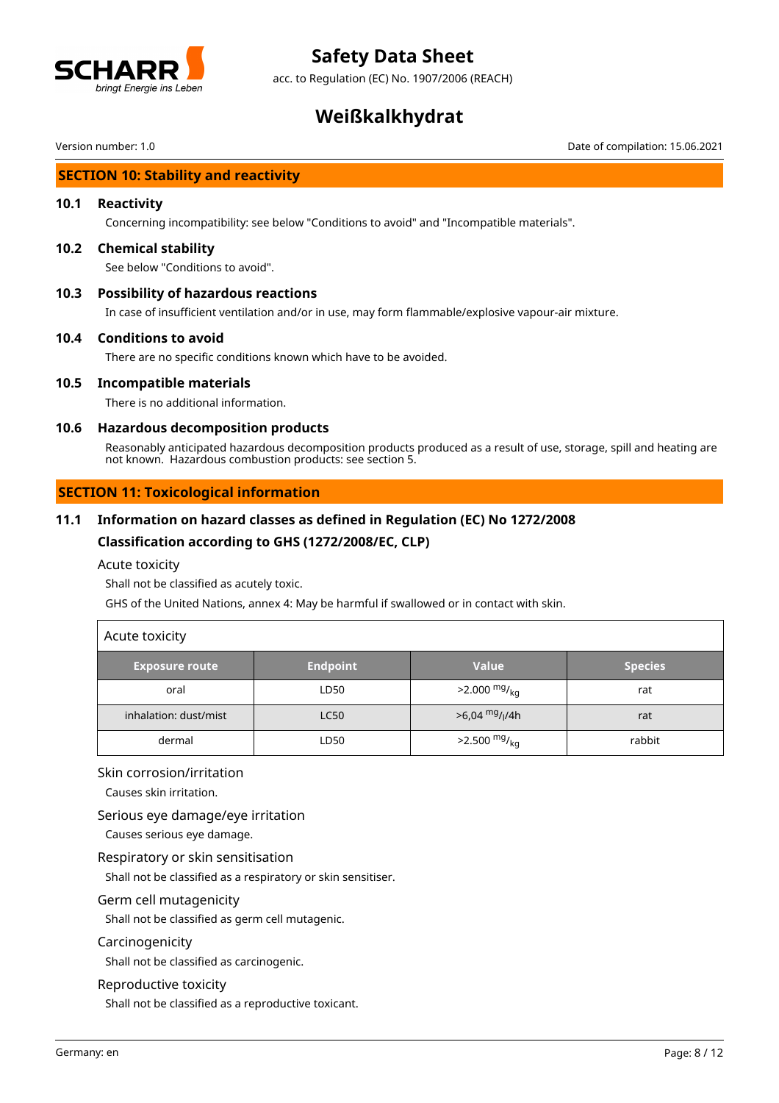

acc. to Regulation (EC) No. 1907/2006 (REACH)

# **Weißkalkhydrat**

Version number: 1.0 Date of compilation: 15.06.2021

# **SECTION 10: Stability and reactivity**

#### **10.1 Reactivity**

Concerning incompatibility: see below "Conditions to avoid" and "Incompatible materials".

#### **10.2 Chemical stability**

See below "Conditions to avoid".

#### **10.3 Possibility of hazardous reactions**

In case of insufficient ventilation and/or in use, may form flammable/explosive vapour-air mixture.

#### **10.4 Conditions to avoid**

There are no specific conditions known which have to be avoided.

#### **10.5 Incompatible materials**

There is no additional information.

### **10.6 Hazardous decomposition products**

Reasonably anticipated hazardous decomposition products produced as a result of use, storage, spill and heating are not known. Hazardous combustion products: see section 5.

## **SECTION 11: Toxicological information**

## **11.1 Information on hazard classes as defined in Regulation (EC) No 1272/2008**

## **Classification according to GHS (1272/2008/EC, CLP)**

Acute toxicity

Shall not be classified as acutely toxic.

GHS of the United Nations, annex 4: May be harmful if swallowed or in contact with skin.

| Acute toxicity        |                 |                                         |                |
|-----------------------|-----------------|-----------------------------------------|----------------|
| <b>Exposure route</b> | <b>Endpoint</b> | <b>Value</b>                            | <b>Species</b> |
| oral                  | LD50            | $>2.000 \frac{mg}{kg}$                  | rat            |
| inhalation: dust/mist | <b>LC50</b>     | $>6,04 \frac{mg}{l}$ / <sub>l</sub> /4h | rat            |
| dermal                | LD50            | $>2.500$ mg/ <sub>kg</sub>              | rabbit         |

#### Skin corrosion/irritation

Causes skin irritation.

#### Serious eye damage/eye irritation

Causes serious eye damage.

#### Respiratory or skin sensitisation

Shall not be classified as a respiratory or skin sensitiser.

#### Germ cell mutagenicity

Shall not be classified as germ cell mutagenic.

#### Carcinogenicity

Shall not be classified as carcinogenic.

#### Reproductive toxicity

Shall not be classified as a reproductive toxicant.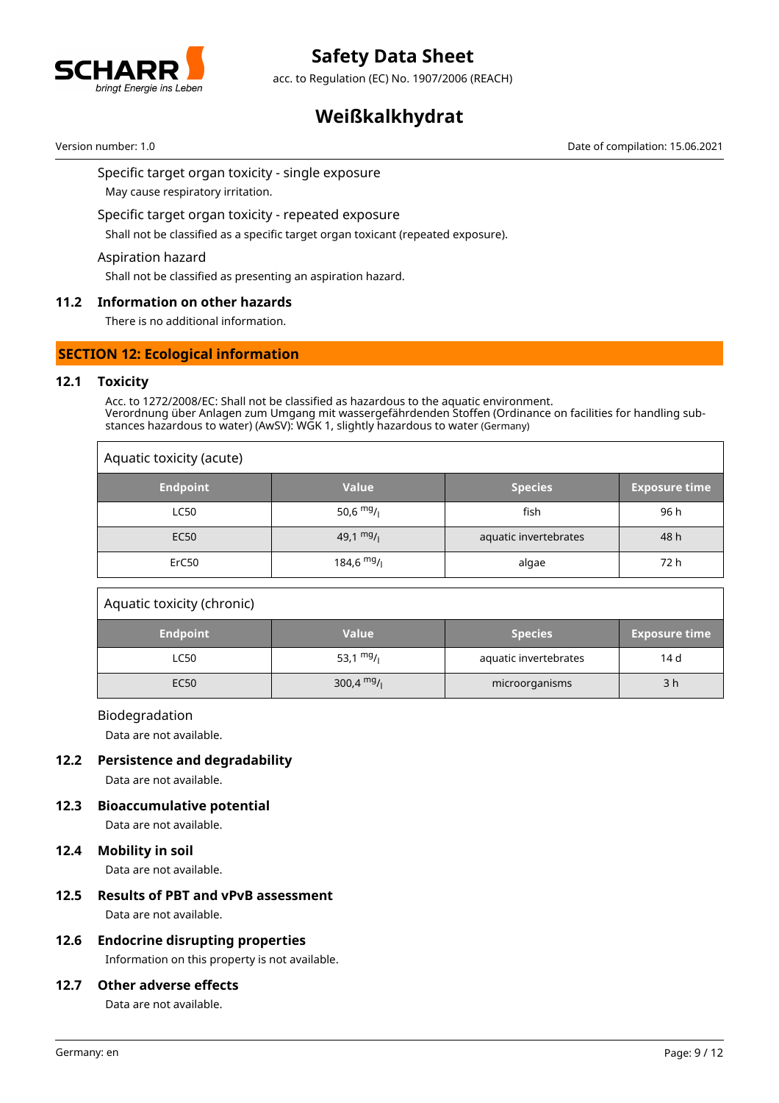

acc. to Regulation (EC) No. 1907/2006 (REACH)

# **Weißkalkhydrat**

Version number: 1.0 Date of compilation: 15.06.2021

Specific target organ toxicity - single exposure

May cause respiratory irritation.

Specific target organ toxicity - repeated exposure

Shall not be classified as a specific target organ toxicant (repeated exposure).

#### Aspiration hazard

Shall not be classified as presenting an aspiration hazard.

## **11.2 Information on other hazards**

There is no additional information.

## **SECTION 12: Ecological information**

#### **12.1 Toxicity**

Acc. to 1272/2008/EC: Shall not be classified as hazardous to the aquatic environment. Verordnung über Anlagen zum Umgang mit wassergefährdenden Stoffen (Ordinance on facilities for handling substances hazardous to water) (AwSV): WGK 1, slightly hazardous to water (Germany)

| Aquatic toxicity (acute) |              |                       |                      |
|--------------------------|--------------|-----------------------|----------------------|
| <b>Endpoint</b>          | <b>Value</b> | <b>Species</b>        | <b>Exposure time</b> |
| <b>LC50</b>              | 50,6 $mg/$   | fish                  | 96 h                 |
| <b>EC50</b>              | 49,1 $mg/1$  | aquatic invertebrates | 48 h                 |
| ErC50                    | $184,6$ mg/  | algae                 | 72 h                 |

#### Aquatic toxicity (chronic)

| <b>Endpoint</b> | <b>Value</b> | <b>Species</b>        | <b>Exposure time</b> |
|-----------------|--------------|-----------------------|----------------------|
| LC50            | 53,1 $mg/1$  | aquatic invertebrates | 14 d                 |
| EC50            | 300,4 $mg/$  | microorganisms        | 3 h                  |

#### Biodegradation

Data are not available.

#### **12.2 Persistence and degradability**

Data are not available.

## **12.3 Bioaccumulative potential**

Data are not available.

#### **12.4 Mobility in soil**

Data are not available.

# **12.5 Results of PBT and vPvB assessment**

Data are not available.

## **12.6 Endocrine disrupting properties**

Information on this property is not available.

#### **12.7 Other adverse effects**

Data are not available.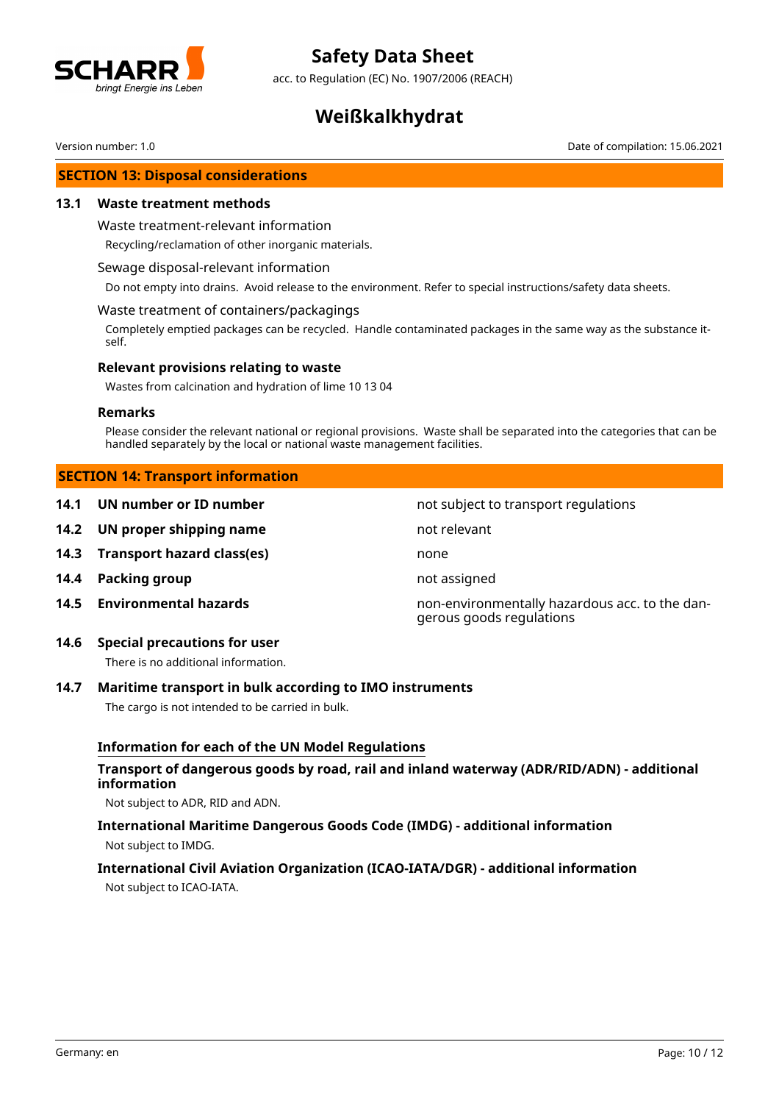

acc. to Regulation (EC) No. 1907/2006 (REACH)

# **Weißkalkhydrat**

Version number: 1.0 Date of compilation: 15.06.2021

### **SECTION 13: Disposal considerations**

#### **13.1 Waste treatment methods**

#### Waste treatment-relevant information

Recycling/reclamation of other inorganic materials.

#### Sewage disposal-relevant information

Do not empty into drains. Avoid release to the environment. Refer to special instructions/safety data sheets.

#### Waste treatment of containers/packagings

Completely emptied packages can be recycled. Handle contaminated packages in the same way as the substance itself.

#### **Relevant provisions relating to waste**

Wastes from calcination and hydration of lime 10 13 04

#### **Remarks**

Please consider the relevant national or regional provisions. Waste shall be separated into the categories that can be handled separately by the local or national waste management facilities.

#### **SECTION 14: Transport information**

- **14.1 UN number or ID number 12.1 14.1 UN number not subject to transport regulations**
- **14.2 UN proper shipping name** not relevant
- **14.3 Transport hazard class(es)** none
- **14.4 Packing group not assigned**
- 

**14.5 Environmental hazards** non-environmentally hazardous acc. to the dangerous goods regulations

**14.6 Special precautions for user**

There is no additional information.

## **14.7 Maritime transport in bulk according to IMO instruments**

The cargo is not intended to be carried in bulk.

## **Information for each of the UN Model Regulations**

# **Transport of dangerous goods by road, rail and inland waterway (ADR/RID/ADN) - additional information**

Not subject to ADR, RID and ADN.

# **International Maritime Dangerous Goods Code (IMDG) - additional information** Not subject to IMDG.

## **International Civil Aviation Organization (ICAO-IATA/DGR) - additional information**

Not subject to ICAO-IATA.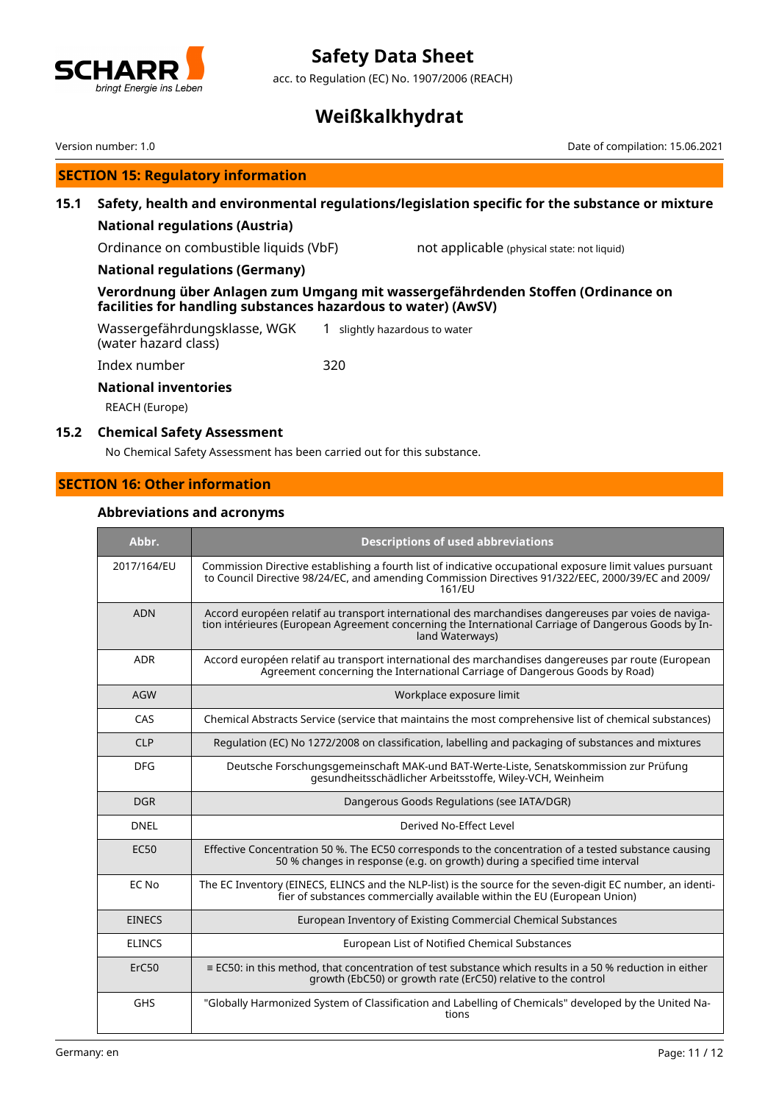

acc. to Regulation (EC) No. 1907/2006 (REACH)

# **Weißkalkhydrat**

Version number: 1.0 Date of compilation: 15.06.2021

# **SECTION 15: Regulatory information**

# **15.1 Safety, health and environmental regulations/legislation specific for the substance or mixture**

# **National regulations (Austria)**

Ordinance on combustible liquids (VbF) not applicable (physical state: not liquid)

## **National regulations (Germany)**

# **Verordnung über Anlagen zum Umgang mit wassergefährdenden Stoffen (Ordinance on facilities for handling substances hazardous to water) (AwSV)**

Wassergefährdungsklasse, WGK (water hazard class) 1 slightly hazardous to water Index number 320

**National inventories**

REACH (Europe)

### **15.2 Chemical Safety Assessment**

No Chemical Safety Assessment has been carried out for this substance.

# **SECTION 16: Other information**

# **Abbreviations and acronyms**

| Abbr.         | <b>Descriptions of used abbreviations</b>                                                                                                                                                                                       |
|---------------|---------------------------------------------------------------------------------------------------------------------------------------------------------------------------------------------------------------------------------|
| 2017/164/EU   | Commission Directive establishing a fourth list of indicative occupational exposure limit values pursuant<br>to Council Directive 98/24/EC, and amending Commission Directives 91/322/EEC, 2000/39/EC and 2009/<br>161/EU       |
| <b>ADN</b>    | Accord européen relatif au transport international des marchandises dangereuses par voies de naviga-<br>tion intérieures (European Agreement concerning the International Carriage of Dangerous Goods by In-<br>land Waterways) |
| <b>ADR</b>    | Accord européen relatif au transport international des marchandises dangereuses par route (European<br>Agreement concerning the International Carriage of Dangerous Goods by Road)                                              |
| <b>AGW</b>    | Workplace exposure limit                                                                                                                                                                                                        |
| CAS           | Chemical Abstracts Service (service that maintains the most comprehensive list of chemical substances)                                                                                                                          |
| <b>CLP</b>    | Regulation (EC) No 1272/2008 on classification, labelling and packaging of substances and mixtures                                                                                                                              |
| <b>DFG</b>    | Deutsche Forschungsgemeinschaft MAK-und BAT-Werte-Liste, Senatskommission zur Prüfung<br>gesundheitsschädlicher Arbeitsstoffe, Wiley-VCH, Weinheim                                                                              |
| <b>DGR</b>    | Dangerous Goods Regulations (see IATA/DGR)                                                                                                                                                                                      |
| <b>DNEL</b>   | Derived No-Effect Level                                                                                                                                                                                                         |
| <b>EC50</b>   | Effective Concentration 50 %. The EC50 corresponds to the concentration of a tested substance causing<br>50 % changes in response (e.g. on growth) during a specified time interval                                             |
| EC No         | The EC Inventory (EINECS, ELINCS and the NLP-list) is the source for the seven-digit EC number, an identi-<br>fier of substances commercially available within the EU (European Union)                                          |
| <b>EINECS</b> | European Inventory of Existing Commercial Chemical Substances                                                                                                                                                                   |
| <b>ELINCS</b> | European List of Notified Chemical Substances                                                                                                                                                                                   |
| ErC50         | $\equiv$ EC50: in this method, that concentration of test substance which results in a 50 % reduction in either<br>growth (EbC50) or growth rate (ErC50) relative to the control                                                |
| <b>GHS</b>    | "Globally Harmonized System of Classification and Labelling of Chemicals" developed by the United Na-<br>tions                                                                                                                  |